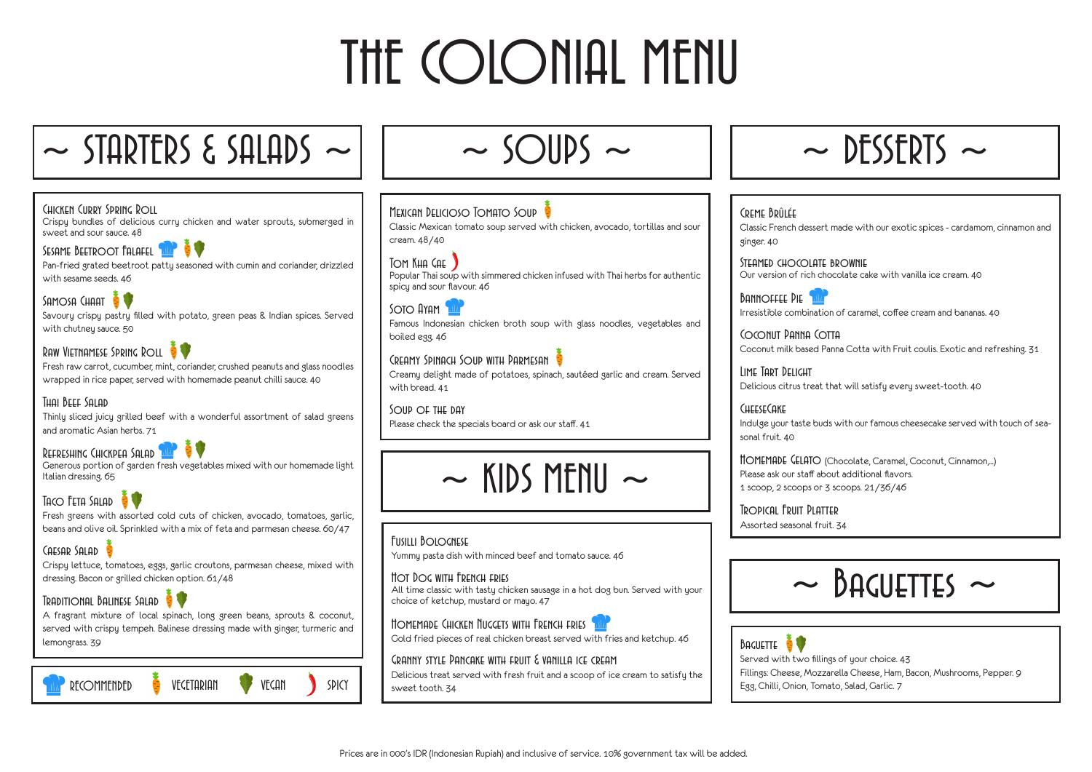# THE COLONIAL MENU

### $\sim$  STARTERS & SALADS  $\sim$

#### Chicken Curry Spring Roll

Crispy bundles of delicious curry chicken and water sprouts, submerged in sweet and sour sauce. 48

#### SESAME BEETROOT FALAFEL

Pan-fried grated beetroot patty seasoned with cumin and coriander, drizzled with sesame seeds. 46

### SAMOSA CHAAT

Savoury crispy pastry filled with potato, green peas & Indian spices. Served with chutney sauce. 50

#### Raw Vietnamese Spring Roll

Fresh raw carrot, cucumber, mint, coriander, crushed peanuts and glass noodles wrapped in rice paper, served with homemade peanut chilli sauce. 40

#### Thai Beef Salad

Thinly sliced juicy grilled beef with a wonderful assortment of salad greens and aromatic Asian herbs. 71

#### Refreshing Chickpea Salad

Generous portion of garden fresh vegetables mixed with our homemade light Italian dressing. 65

### Taco Feta Salad &

Fresh greens with assorted cold cuts of chicken, avocado, tomatoes, garlic, beans and olive oil. Sprinkled with a mix of feta and parmesan cheese. 60/47

#### CAESAR SALAD

STEAMED CHOCOLATE BROWNIE Our version of rich chocolate cake with vanilla ice cream. 40

**BANNOFFEE PIE** 

Crispy lettuce, tomatoes, eggs, garlic croutons, parmesan cheese, mixed with dressing. Bacon or grilled chicken option. 61/48

#### Traditional Balinese Salad

CHEESECAKE sonal fruit. 40

A fragrant mixture of local spinach, long green beans, sprouts & coconut, served with crispy tempeh. Balinese dressing made with ginger, turmeric and lemongrass. 39



#### Fusilli Bolognese

Yummy pasta dish with minced beef and tomato sauce. 46

#### Hot Dog with French fries

All time classic with tasty chicken sausage in a hot dog bun. Served with your choice of ketchup, mustard or mayo. 47

#### HOMEMADE CHICKEN NUGGETS WITH FRENCH FRIES

Gold fried pieces of real chicken breast served with fries and ketchup. 46

#### Granny style Pancake with fruit & vanilla ice cream

Delicious treat served with fresh fruit and a scoop of ice cream to satisfy the sweet tooth. 34



#### Creme Brûlée

Classic French dessert made with our exotic spices - cardamom, cinnamon and

ginger. 40

Irresistible combination of caramel, coffee cream and bananas. 40

Coconut Panna Cotta Coconut milk based Panna Cotta with Fruit coulis. Exotic and refreshing. 31

Lime Tart Delight

Delicious citrus treat that will satisfy every sweet-tooth. 40

Indulge your taste buds with our famous cheesecake served with touch of sea-

Homemade Gelato (Chocolate, Caramel, Coconut, Cinnamon,...) Please ask our staff about additional flavors.

### $BACUETTES \sim$

### 1 scoop, 2 scoops or 3 scoops. 21/36/46

Tropical Fruit Platter Assorted seasonal fruit. 34

| $\sim$ |
|--------|
|        |

## $\sim$  DESSERTS  $\sim$



 $\sim$  SOIIDS  $\sim$ 

#### Mexican Delicioso Tomato Soup

Classic Mexican tomato soup served with chicken, avocado, tortillas and sour cream. 48/40

#### Tom Kha Gae

Popular Thai soup with simmered chicken infused with Thai herbs for authentic spicy and sour flavour. 46

Soto Ayam Famous Indonesian chicken broth soup with glass noodles, vegetables and boiled egg. 46

#### CREAMY SPINACH SOUP WITH PARMESAN

Creamy delight made of potatoes, spinach, sautéed garlic and cream. Served with bread. 41

Soup of the day Please check the specials board or ask our staff. 41



Fillings: Cheese, Mozzarella Cheese, Ham, Bacon, Mushrooms, Pepper. 9